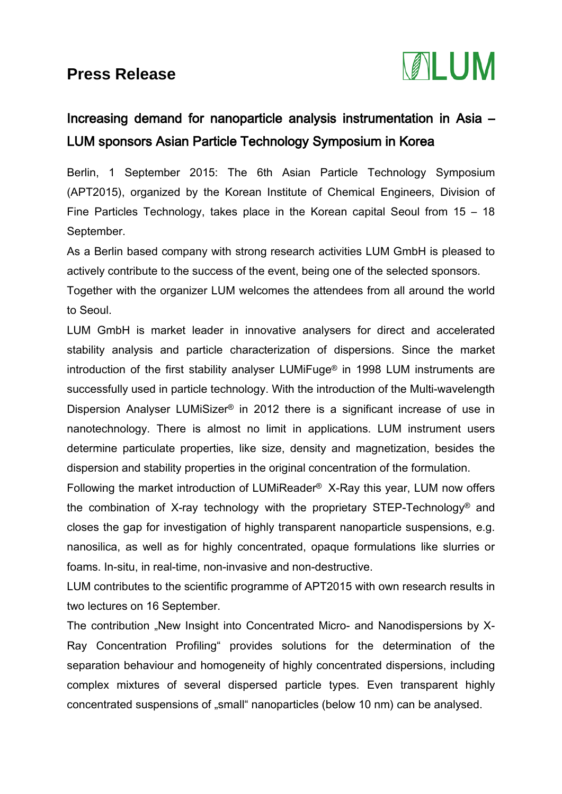## **Press Release**



## Increasing demand for nanoparticle analysis instrumentation in Asia – LUM sponsors Asian Particle Technology Symposium in Korea

Berlin, 1 September 2015: The 6th Asian Particle Technology Symposium (APT2015), organized by the Korean Institute of Chemical Engineers, Division of Fine Particles Technology, takes place in the Korean capital Seoul from 15 – 18 September.

As a Berlin based company with strong research activities LUM GmbH is pleased to actively contribute to the success of the event, being one of the selected sponsors.

Together with the organizer LUM welcomes the attendees from all around the world to Seoul.

LUM GmbH is market leader in innovative analysers for direct and accelerated stability analysis and particle characterization of dispersions. Since the market introduction of the first stability analyser LUMiFuge® in 1998 LUM instruments are successfully used in particle technology. With the introduction of the Multi-wavelength Dispersion Analyser LUMiSizer® in 2012 there is a significant increase of use in nanotechnology. There is almost no limit in applications. LUM instrument users determine particulate properties, like size, density and magnetization, besides the dispersion and stability properties in the original concentration of the formulation.

Following the market introduction of LUMiReader® X-Ray this year, LUM now offers the combination of X-ray technology with the proprietary STEP-Technology® and closes the gap for investigation of highly transparent nanoparticle suspensions, e.g. nanosilica, as well as for highly concentrated, opaque formulations like slurries or foams. In-situ, in real-time, non-invasive and non-destructive.

LUM contributes to the scientific programme of APT2015 with own research results in two lectures on 16 September.

The contribution "New Insight into Concentrated Micro- and Nanodispersions by X-Ray Concentration Profiling" provides solutions for the determination of the separation behaviour and homogeneity of highly concentrated dispersions, including complex mixtures of several dispersed particle types. Even transparent highly concentrated suspensions of "small" nanoparticles (below 10 nm) can be analysed.